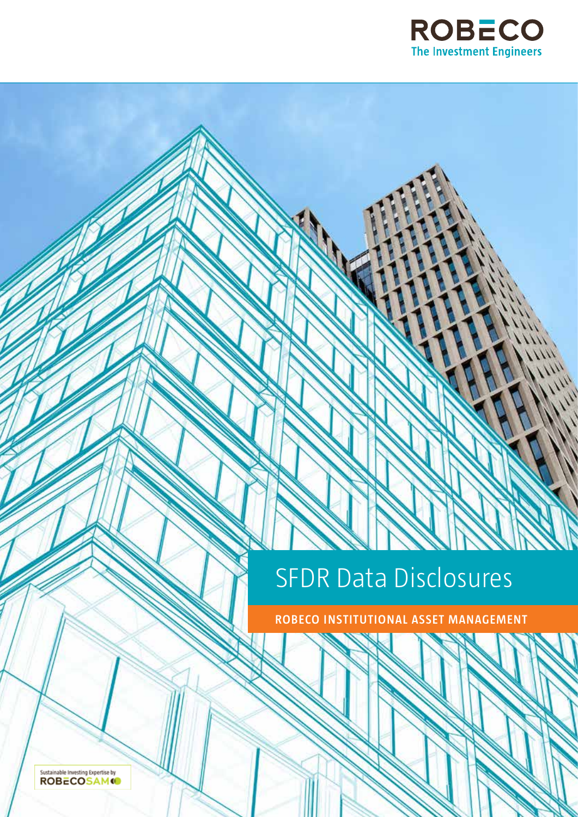

# SFDR Data Disclosures

**ROBECO INSTITUTIONAL ASSET MANAGEMENT**

Sustainable Investing Expertise by<br>**ROBECOSAM**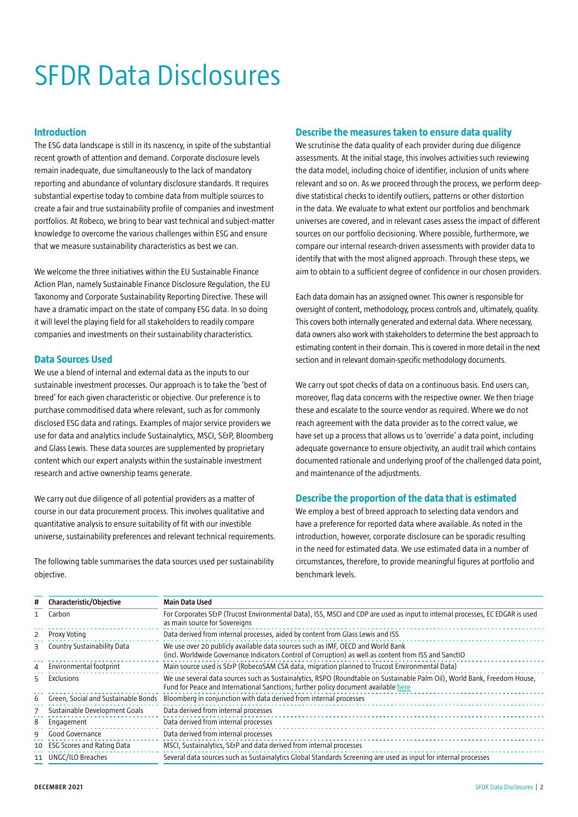# SFDR Data Disclosures

#### **Introduction**

The ESG data landscape is still in its nascency, in spite of the substantial recent growth of attention and demand. Corporate disclosure levels remain inadequate, due simultaneously to the lack of mandatory reporting and abundance of voluntary disclosure standards. It requires substantial expertise today to combine data from multiple sources to create a fair and true sustainability profile of companies and investment portfolios. At Robeco, we bring to bear vast technical and subject-matter knowledge to overcome the various challenges within ESG and ensure that we measure sustainability characteristics as best we can.

We welcome the three initiatives within the EU Sustainable Finance Action Plan, namely Sustainable Finance Disclosure Regulation, the EU Taxonomy and Corporate Sustainability Reporting Directive. These will have a dramatic impact on the state of company ESG data. In so doing it will level the playing field for all stakeholders to readily compare companies and investments on their sustainability characteristics.

### **Data Sources Used**

We use a blend of internal and external data as the inputs to our sustainable investment processes. Our approach is to take the 'best of breed' for each given characteristic or objective. Our preference is to purchase commoditised data where relevant, such as for commonly disclosed ESG data and ratings. Examples of major service providers we use for data and analytics include Sustainalytics, MSCI, S&P, Bloomberg and Glass Lewis. These data sources are supplemented by proprietary content which our expert analysts within the sustainable investment research and active ownership teams generate.

We carry out due diligence of all potential providers as a matter of course in our data procurement process. This involves qualitative and quantitative analysis to ensure suitability of fit with our investible universe, sustainability preferences and relevant technical requirements.

The following table summarises the data sources used per sustainability objective.

# **Describe the measures taken to ensure data quality**

We scrutinise the data quality of each provider during due diligence assessments. At the initial stage, this involves activities such reviewing the data model, including choice of identifier, inclusion of units where relevant and so on. As we proceed through the process, we perform deepdive statistical checks to identify outliers, patterns or other distortion in the data. We evaluate to what extent our portfolios and benchmark universes are covered, and in relevant cases assess the impact of different sources on our portfolio decisioning. Where possible, furthermore, we compare our internal research-driven assessments with provider data to identify that with the most aligned approach. Through these steps, we aim to obtain to a sufficient degree of confidence in our chosen providers.

Each data domain has an assigned owner. This owner is responsible for oversight of content, methodology, process controls and, ultimately, quality. This covers both internally generated and external data. Where necessary, data owners also work with stakeholders to determine the best approach to estimating content in their domain. This is covered in more detail in the next section and in relevant domain-specific methodology documents.

We carry out spot checks of data on a continuous basis. End users can, moreover, flag data concerns with the respective owner. We then triage these and escalate to the source vendor as required. Where we do not reach agreement with the data provider as to the correct value, we have set up a process that allows us to 'override' a data point, including adequate governance to ensure objectivity, an audit trail which contains documented rationale and underlying proof of the challenged data point, and maintenance of the adjustments.

# **Describe the proportion of the data that is estimated**

We employ a best of breed approach to selecting data vendors and have a preference for reported data where available. As noted in the introduction, however, corporate disclosure can be sporadic resulting in the need for estimated data. We use estimated data in a number of circumstances, therefore, to provide meaningful figures at portfolio and benchmark levels.

| #  | Characteristic/Objective            | Main Data Used                                                                                                                                                                                                  |
|----|-------------------------------------|-----------------------------------------------------------------------------------------------------------------------------------------------------------------------------------------------------------------|
|    | Carbon                              | For Corporates S&P (Trucost Environmental Data), ISS, MSCI and CDP are used as input to internal processes, EC EDGAR is used<br>as main source for Sovereigns                                                   |
|    | Proxy Voting                        | Data derived from internal processes, aided by content from Glass Lewis and ISS                                                                                                                                 |
| ₹  | Country Sustainability Data         | We use over 20 publicly available data sources such as IMF, OECD and World Bank<br>(incl. Worldwide Governance Indicators Control of Corruption) as well as content from ISS and SanctIO                        |
| 4  | Environmental footprint             | Main source used is S&P (RobecoSAM CSA data, migration planned to Trucost Environmental Data)                                                                                                                   |
| 5. | Exclusions                          | We use several data sources such as Sustainalytics, RSPO (Roundtable on Sustainable Palm Oil), World Bank, Freedom House,<br>Fund for Peace and International Sanctions; further policy document available here |
| 6  | Green, Social and Sustainable Bonds | Bloomberg in conjunction with data derived from internal processes                                                                                                                                              |
|    | Sustainable Development Goals       | Data derived from internal processes                                                                                                                                                                            |
| 8  | Engagement                          | Data derived from internal processes                                                                                                                                                                            |
| q  | Good Governance                     | Data derived from internal processes                                                                                                                                                                            |
| 10 | <b>ESG Scores and Rating Data</b>   | MSCI, Sustainalytics, S&P and data derived from internal processes                                                                                                                                              |
|    | 11 UNGC/ILO Breaches                | Several data sources such as Sustainalytics Global Standards Screening are used as input for internal processes                                                                                                 |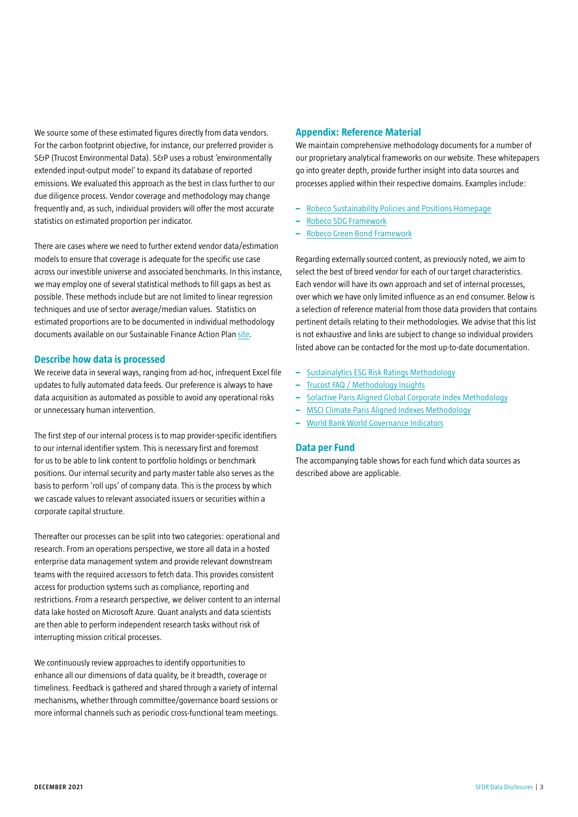We source some of these estimated figures directly from data vendors. For the carbon footprint objective, for instance, our preferred provider is S&P (Trucost Environmental Data). S&P uses a robust 'environmentally extended input-output model' to expand its database of reported emissions. We evaluated this approach as the best in class further to our due diligence process. Vendor coverage and methodology may change frequently and, as such, individual providers will offer the most accurate statistics on estimated proportion per indicator.

There are cases where we need to further extend vendor data/estimation models to ensure that coverage is adequate for the specific use case across our investible universe and associated benchmarks. In this instance, we may employ one of several statistical methods to fill gaps as best as possible. These methods include but are not limited to linear regression techniques and use of sector average/median values. Statistics on estimated proportions are to be documented in individual methodology documents available on our Sustainable Finance Action Plan [site.](https://www.robeco.com/en/sustainability/sustainable-finance-action-plan/)

#### **Describe how data is processed**

We receive data in several ways, ranging from ad-hoc, infrequent Excel file updates to fully automated data feeds. Our preference is always to have data acquisition as automated as possible to avoid any operational risks or unnecessary human intervention.

The first step of our internal process is to map provider-specific identifiers to our internal identifier system. This is necessary first and foremost for us to be able to link content to portfolio holdings or benchmark positions. Our internal security and party master table also serves as the basis to perform 'roll ups' of company data. This is the process by which we cascade values to relevant associated issuers or securities within a corporate capital structure.

Thereafter our processes can be split into two categories: operational and research. From an operations perspective, we store all data in a hosted enterprise data management system and provide relevant downstream teams with the required accessors to fetch data. This provides consistent access for production systems such as compliance, reporting and restrictions. From a research perspective, we deliver content to an internal data lake hosted on Microsoft Azure. Quant analysts and data scientists are then able to perform independent research tasks without risk of interrupting mission critical processes.

We continuously review approaches to identify opportunities to enhance all our dimensions of data quality, be it breadth, coverage or timeliness. Feedback is gathered and shared through a variety of internal mechanisms, whether through committee/governance board sessions or more informal channels such as periodic cross-functional team meetings.

#### **Appendix: Reference Material**

We maintain comprehensive methodology documents for a number of our proprietary analytical frameworks on our website. These whitepapers go into greater depth, provide further insight into data sources and processes applied within their respective domains. Examples include:

- **–** [Robeco Sustainability Policies and Positions Homepage](https://www.robeco.com/en/key-strengths/sustainable-investing/sustainability-reports-policies.html)
- **–** [Robeco SDG Framework](https://www.robeco.com/docm/docu-robeco-explanation-sdg-framework.pdf)
- **–** [Robeco Green Bond Framework](https://www.robeco.com/docm/docu-robeco-green-bond-framework.pdf)

Regarding externally sourced content, as previously noted, we aim to select the best of breed vendor for each of our target characteristics. Each vendor will have its own approach and set of internal processes, over which we have only limited influence as an end consumer. Below is a selection of reference material from those data providers that contains pertinent details relating to their methodologies. We advise that this list is not exhaustive and links are subject to change so individual providers listed above can be contacted for the most up-to-date documentation.

- **–** [Sustainalytics ESG Risk Ratings Methodology](https://connect.sustainalytics.com/esg-risk-ratings-methodology)
- **–** [Trucost FAQ / Methodology Insights](https://www.spglobal.com/spdji/en/documents/additional-material/faq-trucost.pdf)
- **–** [Solactive Paris Aligned Global Corporate Index Methodology](https://www.solactive.com/wp-content/uploads/2020/12/Guideline-Solactive-Paris-Aligned-Global-Corporate-Index.pdf)
- **–** [MSCI Climate Paris Aligned Indexes Methodology](https://www.msci.com/eqb/methodology/meth_docs/MSCI_Climate_Paris_Aligned_Indexes.pdf)
- **–** [World Bank World Governance Indicators](https://info.worldbank.org/governance/wgi/Home/Documents#wgiAggMethodology)

#### **Data per Fund**

The accompanying table shows for each fund which data sources as described above are applicable.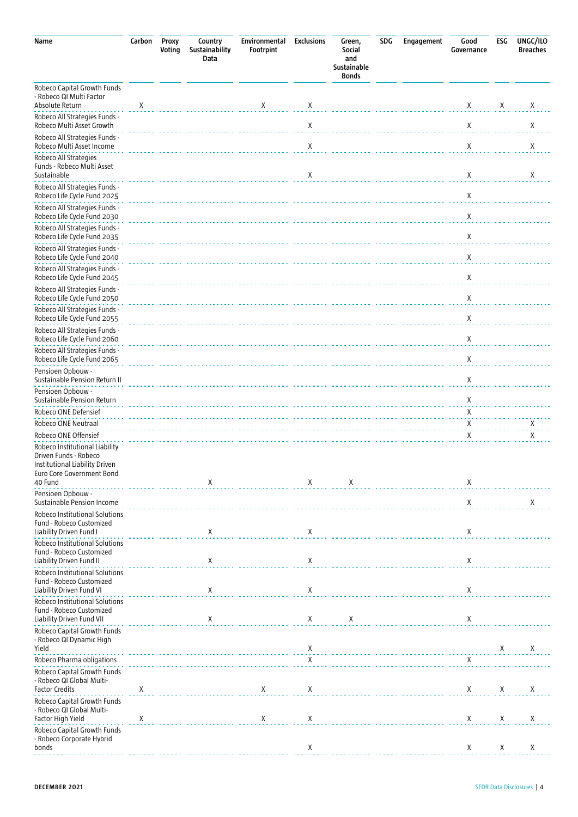| Name                                                                                          | Carbon | Proxy<br>Voting | Country<br>Sustainability<br>Data | Environmental<br>Footrpint                                                                                    | <b>Exclusions</b> | Green,<br>Social<br>and<br>Sustainable<br><b>Bonds</b> | SDG | Engagement                                    | Good<br>Governance | ESG | UNGC/ILO<br><b>Breaches</b> |
|-----------------------------------------------------------------------------------------------|--------|-----------------|-----------------------------------|---------------------------------------------------------------------------------------------------------------|-------------------|--------------------------------------------------------|-----|-----------------------------------------------|--------------------|-----|-----------------------------|
| Robeco Capital Growth Funds<br>- Robeco QI Multi Factor<br>Absolute Return                    | Χ      |                 |                                   | Χ                                                                                                             | Х                 |                                                        |     |                                               | Χ                  | Χ   | Χ                           |
| Robeco All Strategies Funds -<br>Robeco Multi Asset Growth                                    |        |                 |                                   |                                                                                                               | Χ                 |                                                        |     |                                               | Χ                  |     | Χ                           |
| Robeco All Strategies Funds -<br>Robeco Multi Asset Income                                    |        |                 |                                   |                                                                                                               | Χ                 |                                                        |     |                                               | Χ                  |     | Χ                           |
| Robeco All Strategies<br>Funds - Robeco Multi Asset<br>Sustainable                            |        |                 |                                   |                                                                                                               | Χ                 |                                                        |     |                                               | Х                  |     | Χ                           |
| Robeco All Strategies Funds -<br>Robeco Life Cycle Fund 2025                                  |        |                 |                                   |                                                                                                               |                   |                                                        |     |                                               | Χ                  |     |                             |
| Robeco All Strategies Funds -<br>Robeco Life Cycle Fund 2030                                  |        |                 |                                   |                                                                                                               |                   |                                                        |     |                                               | Χ                  |     |                             |
| Robeco All Strategies Funds -<br>Robeco Life Cycle Fund 2035                                  |        |                 |                                   |                                                                                                               |                   |                                                        |     |                                               | Χ                  |     |                             |
| Robeco All Strategies Funds -<br>Robeco Life Cycle Fund 2040                                  |        |                 |                                   |                                                                                                               |                   |                                                        |     |                                               | Χ                  |     |                             |
| Robeco All Strategies Funds -<br>Robeco Life Cycle Fund 2045<br>Robeco All Strategies Funds - |        |                 |                                   |                                                                                                               |                   |                                                        |     |                                               | Χ                  |     |                             |
| Robeco Life Cycle Fund 2050<br>Robeco All Strategies Funds -                                  |        |                 |                                   |                                                                                                               |                   |                                                        |     |                                               | Χ                  |     |                             |
| Robeco Life Cycle Fund 2055<br>Robeco All Strategies Funds -                                  |        |                 |                                   |                                                                                                               |                   |                                                        |     |                                               | Χ                  |     |                             |
| Robeco Life Cycle Fund 2060<br>Robeco All Strategies Funds -                                  |        |                 |                                   |                                                                                                               |                   |                                                        |     |                                               | Χ                  |     |                             |
| Robeco Life Cycle Fund 2065<br>Pensioen Opbouw -                                              |        |                 |                                   |                                                                                                               |                   |                                                        |     |                                               | Χ                  |     |                             |
| Sustainable Pension Return II<br>Pensioen Opbouw -                                            |        |                 |                                   |                                                                                                               |                   |                                                        |     |                                               | Χ                  |     |                             |
| Sustainable Pension Return<br>Robeco ONE Defensief                                            |        |                 |                                   |                                                                                                               |                   |                                                        |     |                                               | Χ<br>Х             |     |                             |
| Robeco ONE Neutraal<br>Robeco ONE Offensief                                                   |        |                 |                                   |                                                                                                               |                   |                                                        |     |                                               | Χ<br>X             |     | Χ<br>Χ                      |
| Robeco Institutional Liability<br>Driven Funds - Robeco<br>Institutional Liability Driven     |        |                 |                                   |                                                                                                               |                   |                                                        |     |                                               |                    |     |                             |
| Euro Core Government Bond<br>40 Fund                                                          |        |                 | X                                 |                                                                                                               | X                 | Χ                                                      |     | .                                             | Χ                  |     |                             |
| Pensioen Opbouw -<br>Sustainable Pension Income<br>Robeco Institutional Solutions             |        |                 |                                   |                                                                                                               |                   |                                                        |     |                                               | X                  |     | Χ                           |
| Fund - Robeco Customized<br>Liability Driven Fund I                                           |        | .               | X                                 |                                                                                                               | X                 |                                                        |     |                                               | X                  |     |                             |
| Robeco Institutional Solutions<br>Fund - Robeco Customized<br>Liability Driven Fund II        |        |                 | X                                 |                                                                                                               | X                 |                                                        |     |                                               | X                  |     |                             |
| Robeco Institutional Solutions<br>Fund - Robeco Customized<br>Liability Driven Fund VI        |        |                 | Χ                                 |                                                                                                               | Χ                 |                                                        |     |                                               | Χ                  |     |                             |
| Robeco Institutional Solutions<br>Fund - Robeco Customized                                    |        | .               |                                   |                                                                                                               |                   |                                                        |     |                                               |                    |     |                             |
| Liability Driven Fund VII<br>Robeco Capital Growth Funds<br>- Robeco QI Dynamic High          |        | .               | Χ                                 |                                                                                                               | Χ                 | X                                                      |     |                                               | X                  |     |                             |
| Yield<br>Robeco Pharma obligations                                                            |        |                 |                                   | $\frac{x}{x}$ . The contract of the contract of $\frac{x}{x}$ . The contract of the contract of $\frac{y}{x}$ |                   |                                                        |     |                                               |                    | X   | X                           |
| Robeco Capital Growth Funds<br>- Robeco QI Global Multi-                                      |        |                 |                                   |                                                                                                               |                   |                                                        |     | X<br>----- ---------- ------ ------------ --- |                    |     |                             |
| <b>Factor Credits</b><br>Robeco Capital Growth Funds                                          | X      |                 | .                                 | X                                                                                                             | X                 |                                                        |     |                                               | X                  | X   | Х                           |
| - Robeco QI Global Multi-<br>Factor High Yield                                                | Χ      |                 | .                                 | Χ                                                                                                             | Х                 |                                                        |     |                                               | X                  | Χ   | Х                           |
| Robeco Capital Growth Funds<br>- Robeco Corporate Hybrid<br>bonds                             |        |                 |                                   |                                                                                                               | Х                 |                                                        |     |                                               | X                  | X   | Χ                           |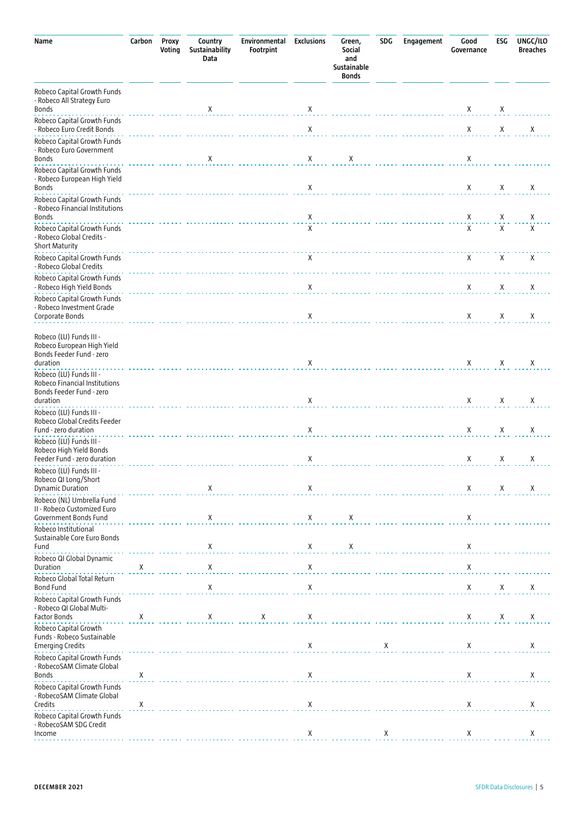| Name                                                                                             | Carbon      | Proxy<br>Voting | Country<br>Sustainability<br>Data | Environmental<br>Footrpint | <b>Exclusions</b> | Green,<br>Social<br>and<br>Sustainable<br><b>Bonds</b> | <b>SDG</b> | Engagement | Good<br>Governance | ESG         | UNGC/ILO<br><b>Breaches</b> |
|--------------------------------------------------------------------------------------------------|-------------|-----------------|-----------------------------------|----------------------------|-------------------|--------------------------------------------------------|------------|------------|--------------------|-------------|-----------------------------|
| Robeco Capital Growth Funds<br>- Robeco All Strategy Euro<br><b>Bonds</b>                        |             |                 | X                                 |                            | Χ                 |                                                        |            |            | X                  | Χ           |                             |
| Robeco Capital Growth Funds<br>- Robeco Euro Credit Bonds                                        |             |                 |                                   |                            | $\mathsf X$       |                                                        |            |            | $\mathsf X$        | $\mathsf X$ | Χ                           |
| Robeco Capital Growth Funds<br>- Robeco Euro Government<br><b>Bonds</b>                          |             |                 | X                                 |                            | X                 | X                                                      |            |            | Χ                  |             |                             |
| Robeco Capital Growth Funds<br>- Robeco European High Yield<br><b>Bonds</b>                      |             |                 |                                   |                            | X                 |                                                        |            |            | X                  | X           | Χ                           |
| Robeco Capital Growth Funds<br>- Robeco Financial Institutions<br><b>Bonds</b>                   |             |                 |                                   |                            | X                 |                                                        |            |            | Χ                  | Χ           | X                           |
| Robeco Capital Growth Funds<br>- Robeco Global Credits -<br><b>Short Maturity</b>                |             |                 |                                   |                            | X                 |                                                        |            |            | X                  | $\mathsf X$ | Χ                           |
| Robeco Capital Growth Funds<br>- Robeco Global Credits                                           |             |                 |                                   |                            | X                 |                                                        |            |            | X                  | X           | Χ                           |
| Robeco Capital Growth Funds<br>- Robeco High Yield Bonds                                         |             |                 |                                   |                            | X                 |                                                        |            |            | X                  | Χ           | Х                           |
| Robeco Capital Growth Funds<br>- Robeco Investment Grade<br>Corporate Bonds                      |             |                 |                                   |                            | Χ                 |                                                        |            |            | X                  | X           | Χ                           |
| Robeco (LU) Funds III -<br>Robeco European High Yield<br>Bonds Feeder Fund - zero<br>duration    |             |                 |                                   |                            | Χ                 |                                                        |            |            | X                  | X           | Χ                           |
| Robeco (LU) Funds III -<br>Robeco Financial Institutions<br>Bonds Feeder Fund - zero<br>duration |             |                 |                                   |                            | Χ                 |                                                        |            |            | Х                  | Χ           | Х                           |
| Robeco (LU) Funds III -<br>Robeco Global Credits Feeder<br>Fund - zero duration                  |             |                 |                                   |                            | Χ                 |                                                        |            |            | Χ                  | Χ           | Χ                           |
| Robeco (LU) Funds III -<br>Robeco High Yield Bonds<br>Feeder Fund - zero duration                |             |                 |                                   |                            | Χ                 |                                                        |            |            | Χ                  | Χ           | Χ                           |
| Robeco (LU) Funds III -<br>Robeco QI Long/Short<br><b>Dynamic Duration</b>                       |             |                 | X                                 |                            | Χ                 |                                                        |            |            | Х                  | Χ           | Χ                           |
| Robeco (NL) Umbrella Fund<br>II - Robeco Customized Euro<br>Government Bonds Fund                |             |                 | X                                 |                            | X                 | X                                                      |            |            | Χ                  |             |                             |
| Robeco Institutional<br>Sustainable Core Euro Bonds<br>Fund                                      |             |                 | $\mathsf X$                       |                            | Χ                 | X                                                      |            |            | X                  |             |                             |
| Robeco QI Global Dynamic<br>Duration                                                             | Χ           |                 | $\mathsf X$                       |                            | $\mathsf X$       |                                                        |            |            | $\mathsf X$        |             |                             |
| Robeco Global Total Return<br><b>Bond Fund</b>                                                   |             |                 | Χ                                 |                            | $\mathsf X$       |                                                        |            |            | $\mathsf X$        | $\mathsf X$ | X                           |
| Robeco Capital Growth Funds<br>- Robeco QI Global Multi-<br>Factor Bonds                         | X           |                 | X                                 | $\mathsf X$                | X                 |                                                        |            |            | X                  | Χ           | X                           |
| Robeco Capital Growth<br>Funds - Robeco Sustainable<br><b>Emerging Credits</b>                   |             |                 |                                   |                            | Χ                 |                                                        | Χ          |            | Χ                  |             | X                           |
| Robeco Capital Growth Funds<br>- RobecoSAM Climate Global<br><b>Bonds</b>                        | X           |                 |                                   |                            | Χ                 |                                                        |            |            | X                  |             | X                           |
| Robeco Capital Growth Funds<br>- RobecoSAM Climate Global<br>Credits                             | $\mathsf X$ |                 |                                   |                            | X                 |                                                        |            |            | Χ                  |             | X                           |
| Robeco Capital Growth Funds<br>- RobecoSAM SDG Credit<br>Income                                  |             |                 |                                   |                            | Χ                 |                                                        | Χ          |            | Х                  |             | Χ                           |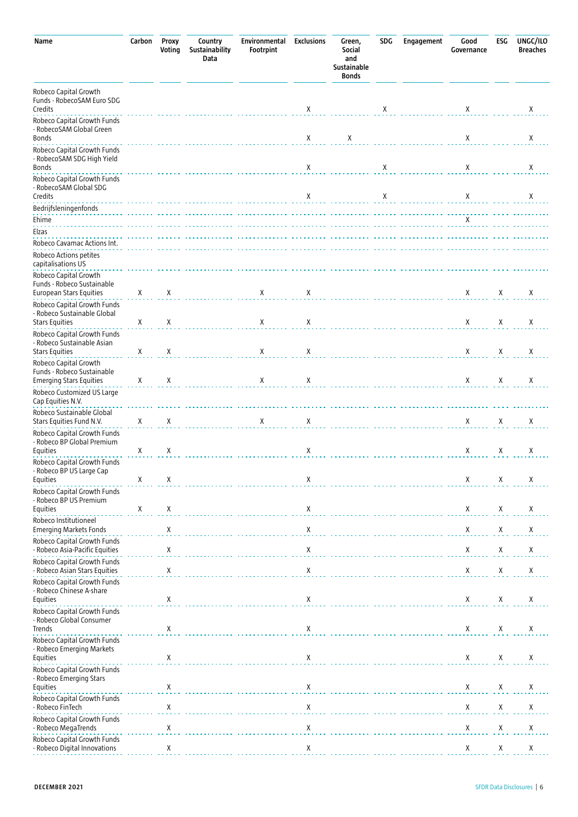| Name                                                                                  | Carbon | Proxy<br>Voting | Country<br>Sustainability<br>Data | Environmental<br>Footrpint | <b>Exclusions</b> | Green,<br>Social<br>and<br>Sustainable<br><b>Bonds</b> | SDG | Engagement | Good<br>Governance | ESG    | UNGC/ILO<br><b>Breaches</b> |
|---------------------------------------------------------------------------------------|--------|-----------------|-----------------------------------|----------------------------|-------------------|--------------------------------------------------------|-----|------------|--------------------|--------|-----------------------------|
| Robeco Capital Growth<br>Funds - RobecoSAM Euro SDG<br>Credits                        |        |                 |                                   |                            | Х                 |                                                        | Х   |            | Χ                  |        | Χ                           |
| Robeco Capital Growth Funds<br>- RobecoSAM Global Green<br>Bonds                      |        |                 |                                   |                            | Χ                 | Χ                                                      |     |            | Χ                  |        | Χ                           |
| Robeco Capital Growth Funds<br>- RobecoSAM SDG High Yield<br>Bonds                    |        |                 |                                   |                            | Χ                 |                                                        | Χ   |            | Χ                  |        | Χ                           |
| Robeco Capital Growth Funds<br>- RobecoSAM Global SDG<br>Credits                      |        |                 |                                   |                            | Χ                 |                                                        | Χ   |            | Χ                  |        | Χ                           |
| Bedrijfsleningenfonds<br>Ehime                                                        |        |                 |                                   |                            |                   |                                                        |     |            | X                  |        |                             |
| Elzas                                                                                 |        |                 |                                   |                            |                   |                                                        |     |            |                    |        |                             |
| Robeco Cavamac Actions Int.<br>Robeco Actions petites<br>capitalisations US           |        |                 |                                   |                            |                   |                                                        |     |            |                    |        |                             |
| Robeco Capital Growth<br>Funds - Robeco Sustainable<br><b>European Stars Equities</b> | Χ      | Χ               |                                   | X                          | X                 |                                                        |     |            | X                  | X      | Χ                           |
| Robeco Capital Growth Funds<br>- Robeco Sustainable Global<br><b>Stars Equities</b>   | Χ      | Χ               |                                   | X                          | X                 |                                                        |     |            | X                  | Χ      | Χ                           |
| Robeco Capital Growth Funds<br>- Robeco Sustainable Asian<br><b>Stars Equities</b>    | Χ      |                 |                                   | Χ                          |                   |                                                        |     |            | X                  |        | Χ                           |
| Robeco Capital Growth<br>Funds - Robeco Sustainable<br><b>Emerging Stars Equities</b> | Χ      | Χ<br>х          |                                   | X                          | X<br>X            |                                                        |     |            | X                  | Х<br>X | X                           |
| Robeco Customized US Large<br>Cap Equities N.V.                                       |        |                 |                                   |                            |                   |                                                        |     |            |                    |        |                             |
| Robeco Sustainable Global<br>Stars Equities Fund N.V.<br>Robeco Capital Growth Funds  | X      | Χ               |                                   | Χ                          | X                 |                                                        |     |            | X                  | Х      | Χ                           |
| - Robeco BP Global Premium<br><b>Equities</b>                                         | Χ      | Χ               |                                   | .                          | X                 |                                                        |     | .          | X                  | Х      | X                           |
| Robeco Capital Growth Funds<br>- Robeco BP US Large Cap<br>Equities                   | Χ      | Χ               |                                   |                            | Χ                 |                                                        |     |            | Χ                  | Χ      | Χ                           |
| Robeco Capital Growth Funds<br>- Robeco BP US Premium<br>Equities                     | Χ      | Χ               |                                   |                            | Χ                 |                                                        |     |            | X                  | Х      | Χ                           |
| Robeco Institutioneel<br><b>Emerging Markets Fonds</b><br>Robeco Capital Growth Funds |        | Χ               |                                   |                            | Χ                 |                                                        |     |            | Χ                  | Χ      | Χ                           |
| - Robeco Asia-Pacific Equities<br>Robeco Capital Growth Funds                         |        | Χ               |                                   |                            | Χ                 |                                                        |     |            | Χ                  | Χ      | Χ                           |
| Robeco Asian Stars Equities<br>Robeco Capital Growth Funds                            |        | Χ               |                                   |                            | Χ                 |                                                        |     |            | Χ                  | Χ      | Х                           |
| - Robeco Chinese A-share<br>Equities<br>Robeco Capital Growth Funds                   |        | Χ               |                                   |                            | $\mathsf X$       |                                                        |     |            | Χ                  | X      | X                           |
| - Robeco Global Consumer<br>Trends                                                    |        | Χ               |                                   |                            | X                 |                                                        |     |            | X                  | X      | Χ                           |
| Robeco Capital Growth Funds<br>- Robeco Emerging Markets<br>Equities                  |        | Χ               |                                   |                            | X                 |                                                        |     |            | Χ                  | X      | X                           |
| Robeco Capital Growth Funds<br>- Robeco Emerging Stars<br>Equities                    |        | Χ               |                                   |                            | Х                 |                                                        |     |            | Χ                  | Χ      | Χ                           |
| Robeco Capital Growth Funds<br>- Robeco FinTech                                       |        | Χ               |                                   |                            | Χ                 |                                                        |     |            | Χ                  | Χ      | Χ                           |
| Robeco Capital Growth Funds<br>Robeco MegaTrends                                      |        | Χ               |                                   |                            | Χ                 |                                                        |     |            | Χ                  | Χ      | $\mathsf X$                 |
| Robeco Capital Growth Funds<br>Robeco Digital Innovations                             |        | Χ               |                                   |                            | Χ                 |                                                        |     |            | Χ                  | X      | Χ                           |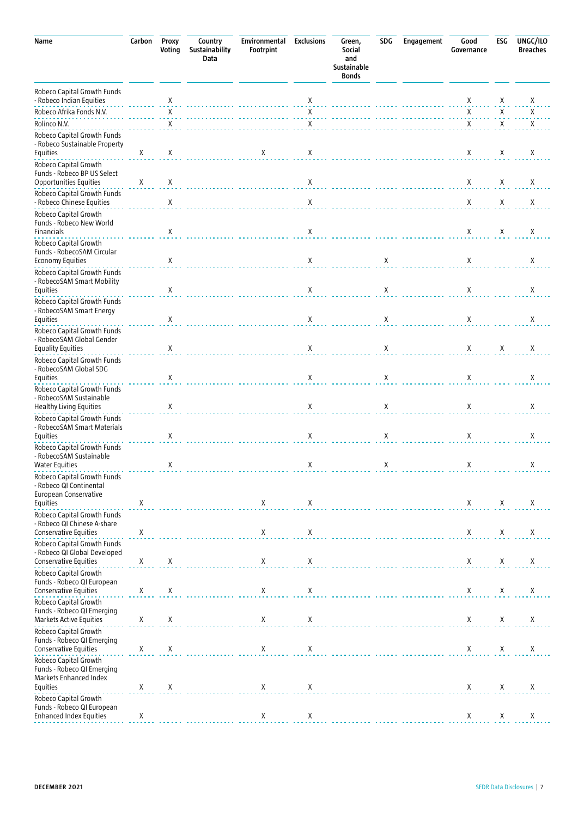| Name                                                                                     | Carbon                          | Proxy<br>Voting | Country<br>Sustainability<br>Data | Environmental<br>Footrpint                          | <b>Exclusions</b>    | Green,<br>Social<br>and<br>Sustainable<br><b>Bonds</b> | SDG | Engagement | Good<br>Governance | ESG                | UNGC/ILO<br><b>Breaches</b> |
|------------------------------------------------------------------------------------------|---------------------------------|-----------------|-----------------------------------|-----------------------------------------------------|----------------------|--------------------------------------------------------|-----|------------|--------------------|--------------------|-----------------------------|
| Robeco Capital Growth Funds<br>- Robeco Indian Equities                                  |                                 | Χ               |                                   |                                                     | X                    |                                                        |     |            | Χ                  | Χ                  | X                           |
| Robeco Afrika Fonds N.V.                                                                 |                                 | Χ               |                                   |                                                     | X                    |                                                        |     |            | Х                  | Χ                  | Χ                           |
| Rolinco N.V.                                                                             |                                 | Χ               |                                   |                                                     | Χ                    |                                                        |     |            | Χ                  | Χ                  | X                           |
| Robeco Capital Growth Funds<br>- Robeco Sustainable Property<br>Equities                 | Χ                               | Χ               |                                   | X                                                   | Χ                    |                                                        |     |            | Χ                  | χ                  | X                           |
| Robeco Capital Growth<br>Funds - Robeco BP US Select<br>Opportunities Equities           | Χ                               | Χ               |                                   |                                                     | X                    |                                                        |     |            | X                  | Χ                  | Χ                           |
| Robeco Capital Growth Funds<br>- Robeco Chinese Equities                                 |                                 | Χ               |                                   |                                                     | X                    |                                                        |     |            | X                  | X                  | X                           |
| Robeco Capital Growth<br>Funds - Robeco New World<br><b>Financials</b>                   |                                 | Χ               |                                   |                                                     | X                    |                                                        |     |            | Χ                  | Χ                  | Χ                           |
| Robeco Capital Growth<br>Funds - RobecoSAM Circular<br><b>Economy Equities</b>           |                                 | Χ               |                                   |                                                     | Χ                    |                                                        | X   |            | X                  |                    | X                           |
| Robeco Capital Growth Funds<br>- RobecoSAM Smart Mobility<br>Equities                    |                                 | Χ               |                                   |                                                     | Χ                    |                                                        | X   |            | X                  |                    | X                           |
| Robeco Capital Growth Funds<br>- RobecoSAM Smart Energy<br>Equities                      |                                 | Χ               |                                   |                                                     | Χ                    |                                                        | Χ   |            | Χ                  |                    | Χ                           |
| Robeco Capital Growth Funds<br>- RobecoSAM Global Gender<br><b>Equality Equities</b>     |                                 | Χ               |                                   |                                                     | Χ                    |                                                        | Χ   |            | Χ                  | Χ                  | Χ                           |
| Robeco Capital Growth Funds<br>- RobecoSAM Global SDG<br>Equities                        |                                 | Χ               |                                   |                                                     | Χ                    |                                                        | Χ   |            | X                  |                    | Χ                           |
| Robeco Capital Growth Funds<br>- RobecoSAM Sustainable<br><b>Healthy Living Equities</b> |                                 | X               |                                   |                                                     | Χ                    |                                                        | Χ   |            | Χ                  |                    | X                           |
| Robeco Capital Growth Funds<br>- RobecoSAM Smart Materials<br>Equities                   |                                 | Χ               |                                   |                                                     | Χ                    |                                                        | Χ   |            | Χ                  |                    | Χ                           |
| Robeco Capital Growth Funds<br>- RobecoSAM Sustainable<br>Water Equities                 |                                 | Χ               |                                   |                                                     | Χ                    |                                                        | Χ   |            | Χ                  |                    | Χ                           |
| Robeco Capital Growth Funds<br>- Robeco QI Continental<br>European Conservative          |                                 |                 |                                   |                                                     |                      |                                                        |     |            |                    |                    |                             |
| Equities<br>Robeco Capital Growth Funds                                                  | X                               |                 |                                   | X                                                   | X                    |                                                        | .   |            | X                  | X                  | X                           |
| - Robeco QI Chinese A-share<br>Conservative Equities                                     | Χ                               |                 |                                   | Χ                                                   | Χ                    |                                                        |     |            | X                  | Χ                  | X                           |
| Robeco Capital Growth Funds<br>- Robeco QI Global Developed<br>Conservative Equities     | X                               | Χ               |                                   | $\mathsf{X}% _{0}^{\prime}=\mathsf{X}_{0}^{\prime}$ | Χ                    |                                                        |     |            | Χ                  | X                  | Χ                           |
| Robeco Capital Growth<br>Funds - Robeco QI European                                      |                                 |                 |                                   |                                                     |                      |                                                        |     |            |                    |                    |                             |
| Conservative Equities<br>Robeco Capital Growth                                           | X                               | Χ               |                                   | X                                                   | Χ                    |                                                        |     |            | X                  | X                  | X                           |
| Funds - Robeco QI Emerging<br>Markets Active Equities                                    | Χ                               | Χ               |                                   | X                                                   | Χ                    |                                                        |     |            | Χ                  | Χ                  | Χ                           |
| Robeco Capital Growth<br>Funds - Robeco QI Emerging<br>Conservative Equities             | Χ                               | Χ               |                                   | X                                                   | Χ                    |                                                        |     |            | X                  | $\pmb{\mathsf{X}}$ | Χ                           |
| Robeco Capital Growth<br>Funds - Robeco QI Emerging<br>Markets Enhanced Index            |                                 |                 |                                   |                                                     |                      |                                                        |     |            |                    |                    |                             |
| Equities<br>Robeco Capital Growth                                                        | Χ                               | X               |                                   | X                                                   | Χ                    |                                                        |     |            | $\boldsymbol{X}$   | X                  | X                           |
| Funds - Robeco QI European<br><b>Enhanced Index Equities</b>                             | $\frac{\mathsf{X}}{\mathsf{I}}$ |                 |                                   | $\mathsf{X}_{\cdot}$                                | $\mathsf{X}_{\cdot}$ |                                                        |     |            | $\boldsymbol{X}$   | Χ                  | X                           |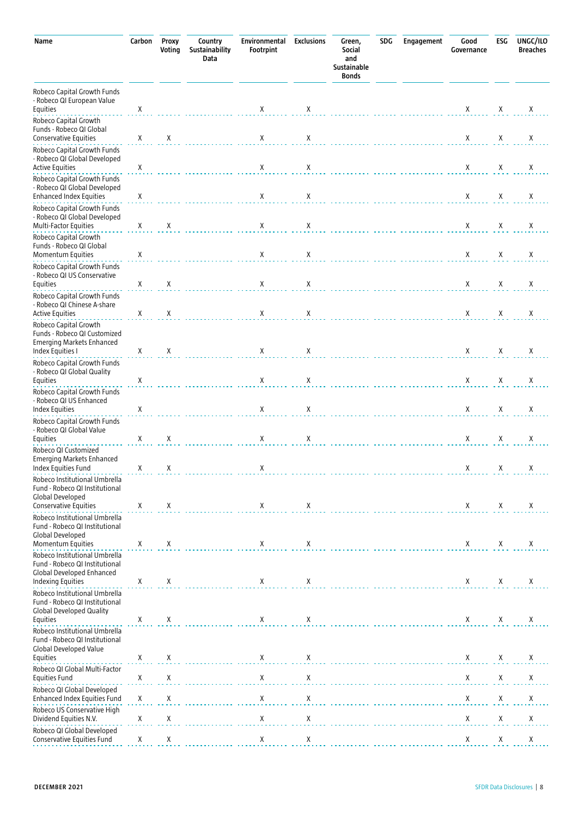| Name                                                                                                                                          | Carbon                    | Proxy<br>Voting | Country<br>Sustainability<br>Data | Environmental<br>Footrpint | <b>Exclusions</b> | Green,<br>Social<br>and<br>Sustainable<br><b>Bonds</b> | <b>SDG</b> | Engagement | Good<br>Governance | ESG            | UNGC/ILO<br><b>Breaches</b> |
|-----------------------------------------------------------------------------------------------------------------------------------------------|---------------------------|-----------------|-----------------------------------|----------------------------|-------------------|--------------------------------------------------------|------------|------------|--------------------|----------------|-----------------------------|
| Robeco Capital Growth Funds<br>- Robeco QI European Value<br><b>Equities</b>                                                                  | Χ                         |                 |                                   | X                          | Х                 |                                                        |            |            | $\boldsymbol{X}$   | Χ              | Х                           |
| Robeco Capital Growth<br>Funds - Robeco QI Global<br>Conservative Equities                                                                    | X                         | X               |                                   | Χ                          | Х                 |                                                        |            |            | Χ                  | Χ              | X                           |
| Robeco Capital Growth Funds<br>- Robeco QI Global Developed<br><b>Active Equities</b>                                                         | Χ                         |                 |                                   | Χ                          | Χ                 |                                                        |            |            | X                  | Х              | Х                           |
| Robeco Capital Growth Funds<br>- Robeco QI Global Developed<br><b>Enhanced Index Equities</b>                                                 | Х                         |                 |                                   | Χ                          | Χ                 |                                                        |            |            | Χ                  | Χ              | X                           |
| Robeco Capital Growth Funds<br>- Robeco QI Global Developed<br>Multi-Factor Equities                                                          | X                         | Χ               |                                   | Χ                          | Χ                 |                                                        |            |            | X                  | Х              | Х                           |
| Robeco Capital Growth<br>Funds - Robeco QI Global<br><b>Momentum Equities</b>                                                                 | Х                         |                 |                                   | Χ                          | X                 |                                                        |            |            | Χ                  | Χ              | X                           |
| Robeco Capital Growth Funds<br>- Robeco QI US Conservative<br><b>Equities</b>                                                                 | Χ                         | Χ               |                                   | Χ                          | Х                 |                                                        |            |            | Χ                  | Х              | Х                           |
| Robeco Capital Growth Funds<br>- Robeco QI Chinese A-share<br><b>Active Equities</b>                                                          | X                         | Х               |                                   | Χ                          | Х                 |                                                        |            |            | X                  | Χ              | X                           |
| Robeco Capital Growth<br>Funds - Robeco QI Customized<br><b>Emerging Markets Enhanced</b><br>Index Equities I                                 | X                         | Χ               |                                   | X                          | Х                 |                                                        |            |            | Χ                  | Х              | Χ                           |
| Robeco Capital Growth Funds<br>- Robeco QI Global Quality<br>Equities                                                                         | X                         |                 |                                   | Χ                          | Х                 |                                                        |            |            | Χ                  | Χ              | Χ                           |
| Robeco Capital Growth Funds<br>- Robeco QI US Enhanced<br><b>Index Equities</b>                                                               | Χ                         |                 |                                   | Χ                          | Х                 |                                                        |            |            | X                  | Χ              | Χ                           |
| Robeco Capital Growth Funds<br>- Robeco QI Global Value<br>Equities                                                                           | Χ                         | Х               |                                   | Χ                          | X                 |                                                        |            |            | Χ                  | Χ              | X                           |
| Robeco QI Customized<br>Emerging Markets Enhanced<br>Index Equities Fund                                                                      | X                         | X               |                                   | X                          |                   |                                                        |            |            | $x \times x$       |                | X                           |
| Robeco Institutional Umbrella<br>Fund - Robeco QI Institutional<br><b>Global Developed</b><br><b>Conservative Equities</b>                    | Χ                         | Χ               |                                   | X                          | X                 |                                                        |            |            | X                  | Χ              | X                           |
| Robeco Institutional Umbrella<br>Fund - Robeco QI Institutional<br><b>Global Developed</b>                                                    |                           |                 |                                   |                            |                   |                                                        |            |            |                    |                |                             |
| Momentum Equities<br>Robeco Institutional Umbrella<br>Fund - Robeco QI Institutional<br><b>Global Developed Enhanced</b><br>Indexing Equities | X<br>Χ                    | Χ<br>X          |                                   | Χ<br>X                     | Х<br>X            | .                                                      |            |            | Χ<br>Χ             | Х<br>X         | Χ<br>X                      |
| Robeco Institutional Umbrella<br>Fund - Robeco QI Institutional<br><b>Global Developed Quality</b><br>Equities                                | X                         | Χ               |                                   | X                          | Χ                 |                                                        |            |            | X                  | Χ              | X                           |
| Robeco Institutional Umbrella<br>Fund - Robeco QI Institutional<br>Global Developed Value                                                     |                           |                 |                                   |                            |                   |                                                        |            |            |                    |                |                             |
| Equities<br>Robeco QI Global Multi-Factor                                                                                                     | Χ                         | Χ               |                                   | X                          | X                 |                                                        |            |            | Χ                  | X              | Х                           |
| <b>Equities Fund</b><br>Robeco QI Global Developed                                                                                            | $\mathsf X$               | Χ               |                                   | $\mathsf X$                | Χ                 |                                                        |            |            | Χ                  | Χ              | Χ                           |
| Enhanced Index Equities Fund<br>Robeco US Conservative High                                                                                   | X                         | Χ               |                                   | Χ                          | Χ                 |                                                        |            |            | Χ                  | Χ              | Χ                           |
| Dividend Equities N.V.<br>Robeco QI Global Developed                                                                                          | $\pmb{\mathsf{X}}$        | Χ               |                                   | Χ                          | Χ                 |                                                        |            |            | Χ                  | Χ              | Χ                           |
| Conservative Equities Fund                                                                                                                    | $\mathsf{X}_{\mathsf{I}}$ | $\overline{X}$  |                                   | $\frac{X}{1}$              | $\overline{X}$    |                                                        |            |            | Χ                  | $\overline{X}$ | $\overline{X}$              |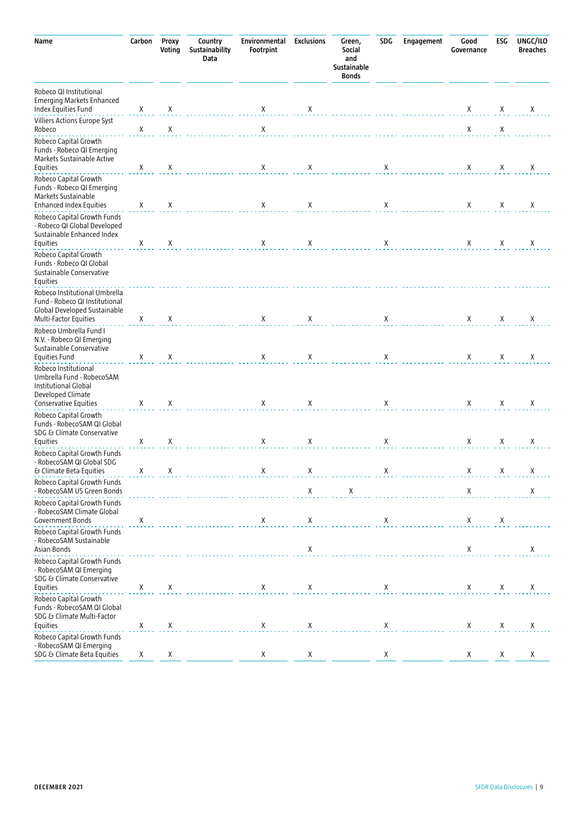| Carbon | Proxy<br>Voting       | Country<br>Sustainability<br>Data | Environmental<br>Footrpint | <b>Exclusions</b>          | Green,<br>Social<br>and<br>Sustainable<br><b>Bonds</b> | SDG | Engagement                       | Good<br>Governance                                  | ESG                        | UNGC/ILO<br><b>Breaches</b> |
|--------|-----------------------|-----------------------------------|----------------------------|----------------------------|--------------------------------------------------------|-----|----------------------------------|-----------------------------------------------------|----------------------------|-----------------------------|
| X      | Χ                     |                                   | Χ                          | X                          |                                                        |     |                                  | Χ                                                   | Χ                          | Χ                           |
| X      |                       |                                   |                            |                            |                                                        |     |                                  |                                                     |                            |                             |
| X      | Χ                     |                                   | X                          | Χ                          |                                                        | Χ   |                                  | Χ                                                   | X                          | Χ                           |
| X      | Χ                     |                                   | X                          | X                          |                                                        | X   |                                  | Χ                                                   | Χ                          | Χ                           |
| Χ      | Χ                     |                                   | X                          | Χ                          |                                                        | Χ   |                                  | X                                                   | Χ                          | Χ                           |
|        |                       |                                   |                            |                            |                                                        |     |                                  |                                                     |                            |                             |
| Χ      | Χ                     |                                   | X                          | Х                          |                                                        | Χ   |                                  | Χ                                                   | Χ                          | Χ                           |
|        |                       |                                   |                            |                            |                                                        |     |                                  |                                                     |                            | Χ                           |
|        |                       |                                   |                            | Χ                          |                                                        |     |                                  |                                                     |                            | Χ                           |
|        |                       |                                   |                            |                            |                                                        |     |                                  |                                                     |                            | Х                           |
| X      | Χ                     |                                   | $\mathsf{X}^-$             |                            |                                                        | X   |                                  | X                                                   | $\mathsf{X}$               | X                           |
|        |                       |                                   |                            | $\mathsf X$                | $\mathsf X$                                            |     |                                  | $\mathsf X$                                         |                            | Χ                           |
| Χ      |                       |                                   | X                          | $\mathsf X$                |                                                        | X   |                                  | X                                                   | Х                          |                             |
|        |                       |                                   |                            | X                          |                                                        |     |                                  | $\mathsf{X}% _{0}^{\prime}=\mathsf{X}_{0}^{\prime}$ |                            | Χ                           |
|        |                       |                                   |                            |                            |                                                        |     |                                  |                                                     |                            |                             |
|        |                       |                                   |                            |                            |                                                        |     |                                  |                                                     |                            | X                           |
| X      | X                     |                                   | X                          | Х                          |                                                        | Χ   |                                  | Χ                                                   | X                          | Χ<br>X                      |
|        | X<br>X<br>X<br>X<br>Χ | Χ<br>Χ<br>Χ<br>Χ<br>Χ<br>Χ        |                            | Χ<br>X<br>X<br>Χ<br>X<br>X | X<br>Х<br>X<br>X                                       |     | X<br>X<br>Χ<br>$\mathsf{X}$<br>X | .                                                   | X<br>X<br>Χ<br>Χ<br>X<br>X | X<br>X<br>Χ<br>Х<br>X<br>Χ  |